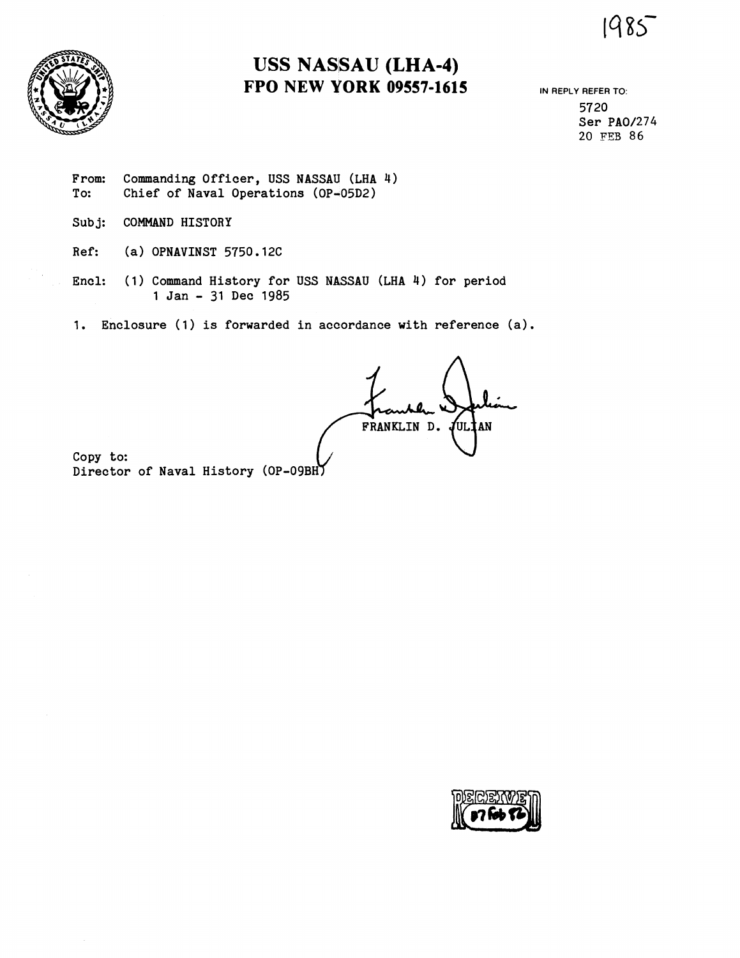1985



# **USS NASSAU (LHA-4) FPO NEW VORK 09557-1615**

**IN REPLY REFER TO:**  5720 Ser PA0/274 20 FES 86

From: Commanding Officer, USS NASSAU (LHA 4)<br>To: Chief of Naval Operations (OP-05D2) Chief of Naval Operations (OP-05D2)

- Subj: COMMAND HISTORY
- Ref: (a) OPNAVINST 5750.12C
- Encl: (1) Command History for USS N4SSAU **(LHA** 4) for period 1 Jan - 31 Dec 1985
- 1. Enclosure **(1)** is forwarded in accordance with reference (a).

FRANKLIN D. JULIAN

Copy to: Director of Naval History (OP-09BH)

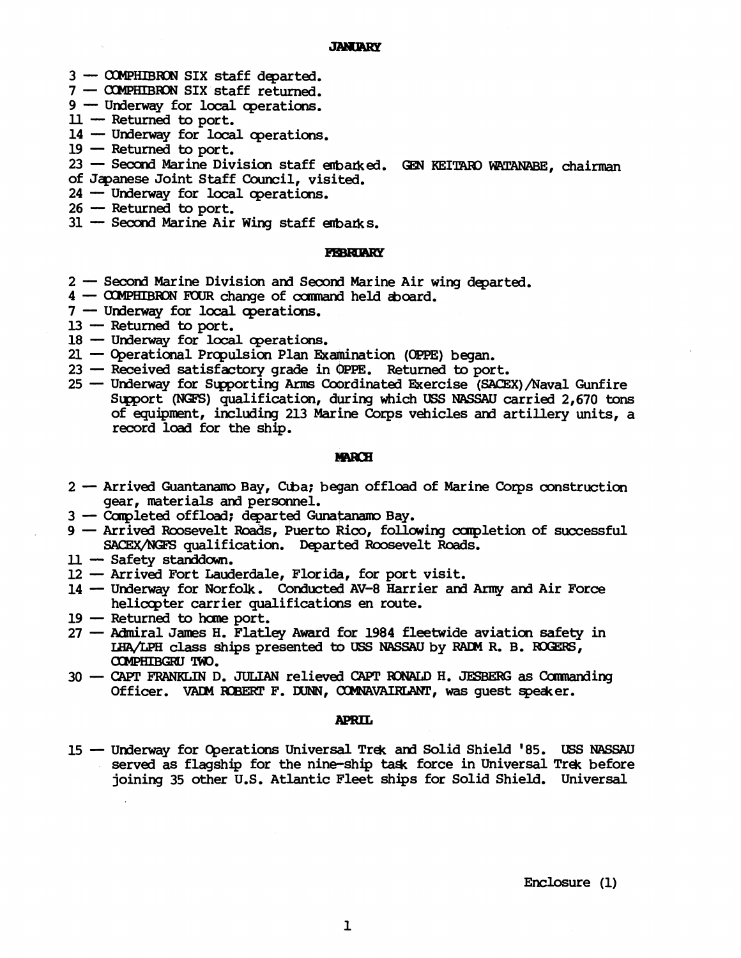## **JANUARY**

- 3 **COMPHIBRON** SIX staff departed. 9 - COMPHIBRON SIX staff departed.<br>7 - COMPHIBRON SIX staff returned.<br>9 - Underway for local operations.<br>11 - Peturned to port
- 7 **COMPHIBRON** SIX staff returned.
- (d) COMPHIBRON SIX stat)<br>d) Underway for local U Returned to port.<br>Id Underway for local
- 
- 14- Underway for local operations.<br>
14 Returned to port.<br>
14 Underway for local operations.<br>
19 Peturned to port.  $11$  -- Returned to port.<br>14 -- Underway for local operations.<br>19 -- Returned to port.
- 

14 <del>-</del> Underway for local operations.<br>19 - Returned to port.<br>23 - Second Marine Division staff embarked. GEN KEITARO WATANABE, chairman<br>of Jæresse Joint Staff Council wisited.

- of **Jqanese** Joint Staff Council, visited. 23 - Second Marine Division staff em<br>of Japanese Joint Staff Council, visi<br>24 - Underway for local operations.
- $24$  Underway for local operations.<br> $26$  Returned to port.
- 
- $31 -$  Second Marine Air Wing staff embarks.

- **FEBRIARY**<br>2 Second Marine Division and Second Marine Air wing departed. 4 - Second Marine Division and Second Marine Air wi<br>4 - COMPHIBRON FOUR change of command held aboard. 7- Second Marine Division and Second<br>1 - COMPHIBRON FOUR change of comma<br>7 - Underway for local operations.
- 
- $7 -$  Underway for local operations.<br> $13 -$  Returned to port.
- 
- 18 Underway for local operations.
- 21 Operational Propulsion Plan Examination (OPPE) began.
- 23 Received satisfactory grade in OPPE. Returned to port.
- 25 Underway for Supporting Arms Coordinated Exercise (SACEX)/Naval Gunfire Support (NGFS) qualification, during which USS NASSAU carried 2,670 tons of equipment, including 213 **Marine** Corps vehicles and artillery units, a record load for the ship.

- **MARCH**<br>2- Arrived Guantanamo Bay, Cuba; began offload of Marine Corps construction<br>2007 materials and personnel gear, materials and personnel.<br>3 - Completed offload; departed Gunatanamo Bay. 3 - Arrived Guantanamo Bay, Cuba; began offload<br>gear, materials and personnel.<br>3 - Completed offload; departed Gunatanamo Bay.<br>3 - Arrived Poosevelt Poads, Puerto Riop, follow
- 
- 9ear, materials and personnel.<br>
3 Completed offload; departed Gunatanamo Bay.<br>
9 Arrived Roosevelt Roads, Puerto Rico, following completion of successful<br>
SACEY AKES cualification Departed Roosevelt Roads SACEX/NGFS qualification. Departed Roosevelt Roads.<br>
1 - Safety standown.<br>
2 - Arrived Fort Lauderdale, Florida, for port visit.<br>
14 - Undervay for Norfolk, Conducted AV-8 Harrier and Arm - Arrived Roosevelt R<br>SACEX/NGFS qualific<br>11 - Safety standdown.<br>12 - Arrived Fort Laude
- 
- 
- 11 Safety standdown.<br>12 Arrived Fort Lauderdale, Florida, for port visit.<br>14 Underway for Norfolk. Conducted AV-8 Harrier and Army and Air Force helicopter carrier qualifications en route.
- <sup>19</sup> Returned **to hane** port.
- belicopter carrier qualifications en route.<br>27 Returned to home port.<br>27 Admiral James H. Flatley Award for 1984 fleetwide aviation safety in<br>27 Admiral James H. Flatley Award for 1984 fleetwide aviation safety in Find a state of the test of the state of the state of the state of the state of the state of the state of the state of the state of the state of the state of the state of the state of the state of the state of the state of LHA/LPH class ships presented to USS NASSAU by RADM R. B. ROGERS, COMPHIBGRU TWO.
- <sup>30</sup> CAPT **FRANKLIN** D. JULIAN relieve6 CAPT **XIN?GD H. JESBEIEI; as** Carmanding Officer. VADM ROBERT F. DUNN, COMNAVAIRLANT, was guest speaker.

**APRIL**<br>15 - Underway for Operations Universal Trek and Solid Shield '85. USS NASSAU served **as** flagship for the nine-ship **ta4c** force in Universal Trek before joining 35 other U.S. Atlantic Fleet ships for Solid Shield. Universal

Enclosure (1)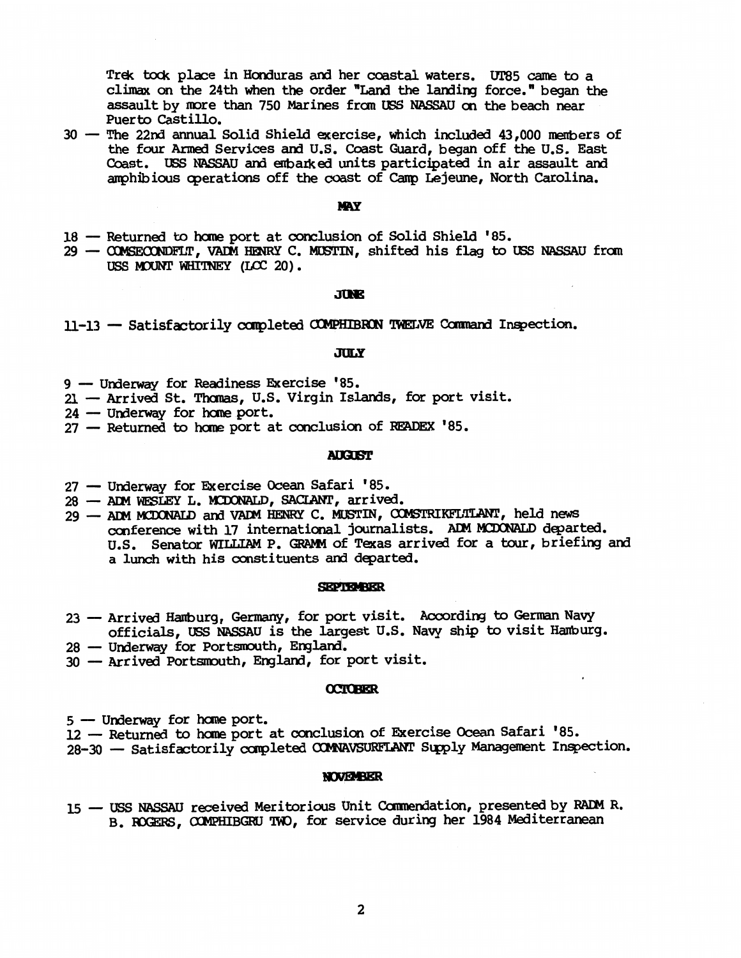Trek **bck** place in Honduras and her coastal waters. W5 came to a climax on the 24th when the order "Land the larding force." began the assault by more than 750 Marines f ran tBS NASSAU **on** the beach near Puerto Castillo.

30 - The 22nd annual Solid Shield exercise, which included 43,000 members of the four Armed Services and U.S. Coast Guard, began off the U.S. East Coast. USS NASSAU and enbadt **ed** units participated in air assault ard amohibious coerations off the coast of Camp Lejeune, North Carolina.

- **MAY**<br>18 Returned to home port at conclusion of Solid Shield '85.
- <sup>29</sup> **-T, VADM HENRY** C. MWTIN, shifted his flag to **US5 NASSAU** from USS MOUNT WHITNEY (LCC 20).

**JUNE**<br>11-13 - Satisfactorily completed COMPHIBRON TWELVE Command Inspection.

**JULY**<br>9 — Underway for Readiness Exercise '85. 21 - Underway for Readiness Exercise 1944<br>24 - Underway for home port.<br>24 - Underway for home port.

21 - Underway for Readiness Exercise '85.<br>21 - Arrived St. Thomas, U.S. Virgin Islands, for port visit. 21 - Arrived St. Thomas, U.S. Virgin Islands, for port 24 - Underway for home port.<br>27 - Returned to home port at conclusion of READEX '85.

## **AUGLIST**

- <sup>27</sup>-- Underway for Exercise Ocean Safari '85. <sup>28</sup> **ACM** WESLEY L. KDObRLD, **SACIANT,** arrived.
- 28 ADM WESTEY L. MCDONALD, SACIANT, arrived.<br>29 ADM MCDONALD and VADM HENRY C. MUSTIN, COMSTRIKFLTLANT, held news conference with 17 international journalists. **ADM** departed. U.S. Senator WILLIAM P. GRAMM of Texas arrived for a tour, briefing and a lunch with his constituents and departed.

- **23** Arrived Hamburg, Germany, for port visit. According to German Navy<br>23 Arrived Hamburg, Germany, for port visit. According to German Navy<br>6 Africials INS NASSAU is the largest U.S. Navy ship to visit Hamburg officials, USS NASSAU is the largest U.S. Navy ship to visit Hamburg.<br>28 - Underway for Portsmouth, England. 23 - Arrived Hamburg, Germany, for port vi<br>officials, USS NASSAU is the largest<br>28 - Underway for Portsmouth, England.<br>20 - Anniuse Portsmouth, England, for port
- 
- 30 Arrived Portsmouth, England, for port visit.

### **OCTOBER**

<sup>5</sup>- Underway for **hane** port.

<sup>12</sup>- Fkturned to **home** port at conclusion of Ekercise **Ocean** Safari '85.

28-30 - Satisfactorily completed COMNAVSURFLANT Supply Management Inspection.

**NOVEMBER**<br>15 — USS NASSAU received Meritorious Unit Commendation, presented by RADM R. **B.** KGEBS, *OOMPHIBGRU* 'IWO, for service during her 1984 Mediterranean